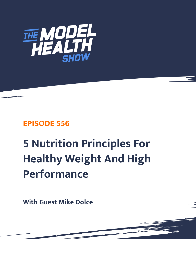

## **EPISODE 556**

# **5 Nutrition Principles For Healthy Weight And High Performance**

**With Guest Mike Dolce**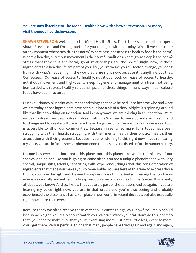### **You are now listening to The Model Health Show with Shawn Stevenson. For more, visit themodelhealthshow.com.**

**SHAWN STEVENSON:** Welcome to The Model Health Show. This is fitness and nutrition expert, Shawn Stevenson, and I'm so grateful for you tuning in with me today. What if we can create an environment where health is the norm? Where ease and access to healthy food is the norm? Where a healthy, nutritious movement is the norm? Conditions where great sleep is the norm? Stress management is the norm, great relationships are the norm? Right now, if these ingredients to a healthy life are part of your life, you're weird, you're Doctor Strange, you don't fit in with what's happening in the world at large right now, because it is anything but that. Our access... Our ease of access to healthy, nutritious food, our ease of access to healthy, nutritious movement and high-quality sleep hygiene and management of stress, not being bombarded with stress, healthy relationships, all of these things in many ways in our culture today have been fractured.

Our evolutionary blueprint as humans and things that have helped us to become who and what we are today, those ingredients have been put into a bit of a tizzy. Alright, it's spinning around like that little top thing on Inception. And in many ways, we are existing in an inception. We're inside of a dream, inside of a dream, dream, alright? We need to wake up and start to shift and to change and to create culture where these things become the norm again, where real food is accessible to all of our communities. Because in reality, so many folks today have been struggling with their health, struggling with their mental health, their physical health, their association with their greatness. Because if you're listening to this right now, if you're hearing my voice, you are in fact a special phenomenon that has never existed before in human history.

No one has ever been born onto this plane, onto this planet like you in the history of our species, and no one like you is going to come after. You are a unique phenomenon with very special, unique gifts, talents, capacities, skills, experience, things that this conglomeration of ingredients that made you makes you so remarkable. You are here at this time to express those things. You have the right and the need to express those things. And so, creating the conditions where we can fully and authentically express ourselves and our health, that's what this is really all about, you know? And so, I know that you are a part of the solution. And so again, if you are hearing my voice right now, you are in that order, and you're also seeing and probably experienced the dissonance has taken place in our world, in recent decades, but also especially right now more than ever.

Because today we often receive these very cookie cutter things, you know? You really should lose some weight. You really should watch your calories, watch your fat, don't do this, don't do that, you need to make sure that you're exercising more, just eat a little less, exercise more, [you](https://themodelhealthshow.com/podcasts/mike-dolce-high-performance/)'[ll get there. Very superficial things that many people have tried again and again and again,](https://themodelhealthshow.com/podcasts/mike-dolce-high-performance/) 

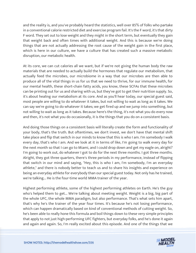and the reality is, and you've probably heard the statistics, well over 85% of folks who partake in a conventional calorie restricted diet and exercise program fail. It's the F word, it's that dirty F word. They set out to lose weight and they might in the short term, but eventually they gain that weight back and often times with additional weight. And this is because we're doing things that are not actually addressing the root cause of the weight gain in the first place, which is here in our culture, we have a culture that has created such a massive metabolic disruption, our metabolic health.

At its core, we can cut calories all we want, but if we're not giving the human body the raw materials that are needed to actually build the hormones that regulate our metabolism, that actually feed the microbes, our microbiome in a way that our microbes are then able to produce all of the vital things in us for us that we need to thrive, for our immune health, for our mental health, these short-chain fatty acids, you know, these SCFAs that these microbes can be printing out for us and sharing with us, but they've got to get their nutrition supply. So, it's about healing our metabolism at its core. And as you'll hear today, our special guest said, most people are willing to do whatever it takes, but not willing to wait as long as it takes. We can say we're going to do whatever it takes; we get fired up and we jump into something, but not willing to wait as long as it takes. Because here's the thing, it's not what you do every now and then, it's not what you do occasionally, it is the things that you do on a consistent basis.

And doing those things on a consistent basis will literally create the form and functionality of your body, that's the truth. But oftentimes, we don't invest, we don't have that mental shift take place and flip that switch in our minds to know that this is who I am. I'm somebody I walk every day, that's who I am. And we look at it in terms of like, I'm going to walk every day for the next month so that I can go to Miami, and I could drop down and get my eagle on, alright? I'm going to work out, do whatever I got to do for the next three months. I got three months. Alright, they got three quarters, there's three periods in my performance, instead of flipping that switch in our mind and saying, "Hey, this is who I am, I'm somebody, I'm an everyday athlete," and there is nobody better to teach us and to share his insights and experience on being an everyday athlete for everybody than our special guest today. Not only has he trained, we're talking... He is the four-time world MMA trainer of the year.

Highest performing athlete, some of the highest performing athletes on Earth. He's the guy who's helped them to get... We're talking about meeting weight. Weight is a big, big part of the whole UFC, the whole MMA paradigm, but also performance. That's what sets him apart, that's why he's the trainer of the year four times. It's because he's not losing performance, which can happen dramatically based on kind of conventional methods of cutting weight. So, he's been able to really hone this formula and boil things down to these very simple principles that apply to not just high-performing UFC fighters, but everyday folks, and he's done it again and again and again. So, I'm really excited about this episode. And one of the things that we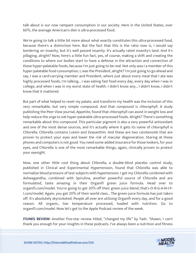talk about is our now rampant consumption in our society. Here in the United States, over 60%, the average American's diet is ultra-processed food.

We're going to talk a little bit more about what exactly constitutes this ultra-processed food, because there's a distinction here. But the fact that this is the ratio now is, I would say bordering on insanity, but it's well passed insanity. It's actually rated insanity's land. And it's pillaging, alright? Now, here's a little fun fact, yes, of course, making a shift and creating the conditions to where our bodies start to have a defense in the attraction and connection of these hyper-palatable foods, because I'm just going to be real. Not only was I a member of this hyper-palatable food consumption, I, was the President, alright? I'm just going to go ahead and say, I was a card-carrying member and President, where just about every meal that I ate was highly processed foods, I'm talking... I was eating fast food every day, every day when I was in college, and when I was in my worst state of health. I didn't know any... I didn't know, I didn't know that it mattered.

But part of what helped to reset my palate, and transform my health was the inclusion of this very remarkable, but very simple compound. And that compound is chlorophyll. A study publishing the Peer View Journal, Appetite, found that chlorophyll can assist in weight loss and help reduce the urge to eat hyper-palatable ultra-processed foods. Alright? There's something remarkable about this compound. This particular pigment is also a very powerful antioxidant and one of the most dense sources, and it's actually where it gets its name of chlorophyll is Chlorella. Chlorella contains Lutein and Zeaxanthin. And these are two carotenoids that are proven to protect your eyes and lower the risk of macular degeneration. Staring at these phones and computers is not good. You need some added insurance for those lookers, for your eyes, and Chlorella is one of the most remarkable things, again, clinically proven to protect your eyesight.

Now, one other little cool thing about Chlorella, a double-blind placebo control study, published in Clinical and Experimental Hypertension, found that Chlorella was able to normalize blood pressure of test subjects with hypertension. I get my Chlorella combined with Ashwagandha, combined with Spirulina, another powerful source of Chlorella and are formulated, taste amazing in their Organifi green juice formula. Head over to organifi.com/model. You're going to get 20% off their green juice blend, that's O-R-G-A-N-I-F-I.com/model. Again, you get 20% of their world class... The green juice formula has just taken off. It's absolutely skyrocketed. People all over are utilizing Organifi every day, and for a good reason. All organic, low temperature processed, loaded with nutrition. Go to organifi.com/model. Now let's get to the Apple Podcast review of the week.

**ITUNES REVIEW:** Another five-star review titled, "changed my life" by Tash. "Shawn, I can't thank you enough for your insights in these podcasts. I've always been a nutrition and fitness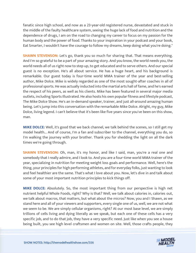fanatic since high school, and now as a 23-year-old registered nurse, devastated and stuck in the middle of the faulty healthcare system, seeing the huge lack of food and nutrition and the dependence of drugs, I am on the road to changing my career to focus on my passion for the human body and the power of food. Thanks to your inspiration in your podcast and your book, Eat Smarter, I wouldn't have the courage to follow my dreams, keep doing what you're doing."

**SHAWN STEVENSON:** Let's go, thank you so much for sharing that. That means everything. And I'm so grateful to be a part of your amazing story. And you know, the world needs you, the world needs all of us right now to step up, to get educated and to serve others. And our special guest is no exception. He's all about service. He has a huge heart, and his background is remarkable. Our guest today is four-time world MMA trainer of the year and best-selling author, Mike Dolce. Mike is widely regarded as one of the most sought-after coaches in all of professional sports. He was actually inducted into the martial arts hall of fame, and he's earned the respect of his peers, as well as his clients. Mike has been featured in several major media outlets, including Sports Illustrated. He also hosts his own popular fitness and lifestyle podcast, The Mike Dolce Show. He's an in-demand speaker, trainer, and just all-around amazing human being. Let's jump into this conversation with the remarkable Mike Dolce. Alright, my guy, Mike Dolce, living legend. I can't believe that it's been like five years since you've been on this show, man.

**MIKE DOLCE:** Well, it's good that we back channel, we talk behind the scenes, so I still get my model health... And of course, I'm a fan and subscriber to the channel, everything you do, so I'm walking the journey with your brother. Thank you for shedding the light on all the dark times we're going through.

**SHAWN STEVENSON:** Oh, man, it's my honor, and like I said, man, you're a real one and somebody that I really admire, and I look to. And you are a four-time world MMA trainer of the year, specializing in nutrition for meeting weight loss goals and performance. Well, here's the thing, your principles for high performing athletes, and for everyday folks, just wanting to look and feel healthier are the same. That's what I love about you. Now, let's dive in and talk about some of your most important nutrition principles to kick things off.

**MIKE DOLCE:** Absolutely. So, the most important thing from our perspective is high net nutrient helpful Whole Foods, right? Why is that? Well, we talk about calories in, calories out, we talk about macros, that matters, but what about the micros? Now, you and I Shawn, as we stand here and all of your viewers and supporters, every single one of us, well, we are not what we seem to be. We are simply cellular organisms, right? At our most base level, we are simply trillions of cells living and dying literally as we speak, but each one of these cells has a very specific job, and to do that job, they have a very specific need. Just like when you see a house being built, you see high level craftsmen and women on site. Well, those crafts people, they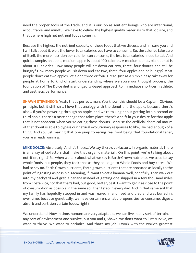need the proper tools of the trade, and it is our job as sentient beings who are intentional, accountable, and mindful, we have to deliver the highest quality materials to that job site, and that's where high net nutrient foods come in.

Because the highest the nutrient capacity of these foods that we discuss, and I'm sure you and I will talk about it, well, the lower total calories you have to consume. So, the calories take care of itself, the more nutrition per calorie I can consume, the less total calories I need to eat. And quick example, an apple, medium apple is about 100 calories. A medium donut, plain donut is about 100 calories. How many people will sit down eat two, three, four donuts and still be hungry? How many people will sit down and eat two, three, four apples and be hungry? Most people don't eat two apples, let alone three or four. Great. Just as a simple easy takeaway for people at home to kind of start understanding where we store our thought process, the foundation of The Dolce diet is a longevity-based approach to immediate short-term athletic and aesthetic performance.

**SHAWN STEVENSON:** Yeah, that's perfect, man. You know, this should be a Captain Obvious principle, but it still isn't. I love that analogy with the donut and the apple, because there's also... If you're powering through an apple, and we're talking about getting into a second or third apple, there's a taste change that takes place, there's a shift in your desire for that apple that is not apparent when you're eating those donuts. Because the artificial chemical nature of that donut is able to bypass our natural evolutionary responses to like, I've had enough of a thing. And so, just making that one jump to eating real food being that foundational tenet, you're already winning.

**MIKE DOLCE:** Absolutely. And it's those... We say there's co-factors. In organic material, there is an array of co-factors that make that organic material... On this point, we're talking about nutrition, right? So, when we talk about what we say is Earth-Grown nutrients, we used to say whole foods, but people, they took that as they could go to Whole Foods and buy cereal. We had to say no. Earth Grown nutrients, Earth grown nutrients that are procured as locally to the point of ingesting as possible. Meaning, if I want to eat a banana, well, hopefully, I can walk out into my backyard and grab a banana instead of getting one shipped in a few thousand miles from Costa Rica, not that that's bad, but good, better, best. I want to get it as close to the point of consumption as possible in the same soil that I step in every day. And in that same soil that my family has hopefully stepped in and was reared in and lived and died and was buried in, over time, because genetically, we have certain enzymatic propensities to consume, digest, absorb and partition certain foods, right?

We understand. Now in time, humans are very adaptable, we can live in any sort of terrain, in any sort of environment and survive, but you and I, Shawn, we don't want to just survive, we want to thrive. We want to optimize. And that's my job, I work with the world's greatest

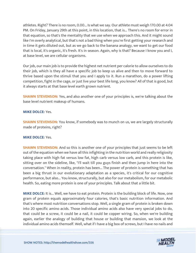athletes. Right? There is no room, 0.00... Is what we say. Our athlete must weigh 170.00 at 4:04 PM. On Friday, January 29th at this point, in this location, that is... There's no room for error in that equation, so that's the mentality that we use when we approach this. And it might sound like I'm overly analytical, but that's not a bad thing when you're first getting your research and in time it gets diluted out, but as we go back to the banana analogy, we want to get our food that is local, it's organic, it's fresh. It's in season. Again, why is that? Because I know you and I, at base level, we are cellular organisms.

Our job, our main job is to provide the highest net nutrient per calorie to allow ourselves to do their job, which is they all have a specific job to keep us alive and then to move forward to thrive based upon the stimuli that you and I apply to it. Run a marathon, do a power lifting competition, fight in the cage, or just live your best life long, you know? All of that is good, but it always starts at that base level earth grown nutrient.

**SHAWN STEVENSON:** Yes, and also another one of your principles is, we're talking about the base level nutrient makeup of humans.

#### **MIKE DOLCE:** Yes.

**SHAWN STEVENSON:** You know, if somebody was to munch on us, we are largely structurally made of proteins, right?

#### **MIKE DOLCE:** Yes.

**SHAWN STEVENSON:** And so this is another one of your principles that just seems to be left out of the equation when we have all this infighting in the nutrition world and really religiosity taking place with high fat versus low fat, high carb versus low carb, and this protein is like, sitting over on the sideline, like, "I'll wait till you guys finish and then jump in here into the conversation." When in reality, protein has been... The power of protein is something that has been a big thrust in our evolutionary adaptation as a species, it's critical for our cognitive performance, but also... You know, structurally, but also for our metabolism, for our metabolic health. So, eating more protein is one of your principles. Talk about that a little bit.

**MIKE DOLCE:** It is... Well, we have to eat protein. Protein is the building block of life. Now, one gram of protein equals approximately four calories, that's basic nutrition information. And that's where most nutrition conversations stop. Well, a single gram of protein is broken down into 20 specific amino acids. Those individual amino acids also have very special jobs to do, that could be a screw, it could be a nail, it could be copper wiring. So, when we're building again, earlier the analogy of building that house or building that mansion, we look at the individual amino acids themself. Well, what if I have a big box of screws, but I have no nails and

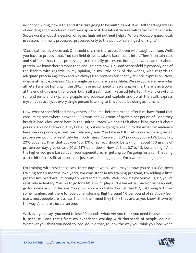no copper wiring, how is this end structure going to be built? It's not. It will fall apart regardless of deciding and the color of paint we slap on to it, the infrastructure will decay from the inside. So, we want a robust ingestion of again, high net nutrient helpful Whole Foods, organic, local, in season, minimally processed, processed only to the point of safe ingestion, right?

'Cause oatmeal is processed. One could say, rice is processed, even wild caught venison. Well, you have to process that. You can field dress it, take it back, cut it into... There's certain cuts and stuff like that, that's processing, so minimally processed. But again, when we talk about protein, we know there's more than enough data now. Dr. Brad Schoenfeld is probably one of the leaders with regards, in my opinion, in my little neck of the woods, with regards to adequate protein ingestion and we always lean towards for healthy athletic expression. Now, what is athletic expression? Every single person here is an athlete. We say you are an everyday athlete. I am not fighting in the UFC, I have no competitions waiting for me, there is no trophy at the end of this month or a year, but I still treat myself like an athlete, I still try and crawl and run and jump and skip, and grapple and squeeze and explode and do all the stuff, express myself athletically, as every single person listening to this should be doing as humans.

Now, what Schoenfeld and many others, of course, before him and after him, have found that consuming somewhere between 0.8 grams and 1.2 grams of protein per pound of... And they break it into kilos. We're here in the United States, we don't talk about kilos, we talk about pounds. Around the world, they talk kilos, but we're going to keep it to the American audience here, we say pounds, so we'll say, relatively lean. You take in 0.8... Let's say start one gram of protein per pound of relatively lean body mass. You weigh 200 pounds, you're 15% body fat, 20% body fat. Fine, that put you 160, 170 or so, you should be taking in about 170 grams of protein per day, give or take 20%, 25% up or down. Now it's that 0.7 to 1.3, low and high. And the higher you go is based upon your expenditure. I'm getting up, I'm going for a run, I'm doing a little bit of cross-fit later on, and I just started doing jiu-jitsu. I'm a white belt in jiu-jitsu.

I'm training with resistance two, three days a week. Well, maybe now you're 1.0. I've been training for six months, two years, I'm consistent in my training program, I'm adding a little progressive overload. I'm trying to build some muscle. Well, now maybe you're 1.1, 1.2, you're relatively sedentary. You like to go for a little swim, play a little basketball once or twice a week, go for a walk around the lake. You know, you're probably down at that 0.7, just trying to throw some numbers out there for everyone listening. Right around 1.0 per pound of relatively lean mass, most people are less lean than in their mind they think they are, as you know, Shawn by the way. And here's just a fun one.

Well, everyone says you need to lose 20 pounds, whatever you think you need to lose, double it, because... And that's from my experience working with thousands of people, double... Whatever you think you need to lose, double that, to look the way you think you look when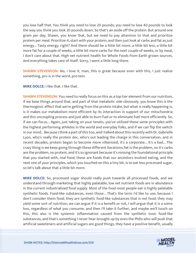you lose half that. You think you need to lose 20 pounds; you need to lose 40 pounds to look the way you think you look 20 pounds down. So that's an aside off the protein. But around one gram per day, Shawn, you know that, but we need to pay attention to that and prioritize protein per meal. Prioritize it, start with your protein, and then just look at carbs and fat as just energy... Tasty energy, right? And there should be a little bit more, a little bit less, a little bit more fat for a couple of weeks, a little bit more carbs for the next couple of weeks, or by meal, I don't care about that. High net nutrient health for Whole Foods from Earth grown sources. And everything takes care of itself. Sorry, I went a little long there.

**SHAWN STEVENSON:** No, I love it, man, this is great because even with this, I just realize something, pro is in the word, pro-tein.

**MIKE DOLCE:** I like that. I like that.

**SHAWN STEVENSON:** You need to really focus on this as a top tier element from our nutrition, if we base things around that, and part of that metabolic side obviously, you know this is the thermogenic effect that we're getting from the protein intake, but what is really happening is, is it makes our metabolism more efficient by its interaction in support of our mitochondria and this uncoupling process and just able to burn fuel or to eliminate fuel more efficiently. So, if we can focus... Again, just taking on your tenets, you've utilized these same principles with the highest performing athletes in the world and everyday folks, and if we can flip the switch in our mind... Because I think a part of this too, and I talked about this recently with Dr. Gabrielle Lyon, who's really the protein doc, who's out leading the charge in this conversation, and in recent decades, protein began to become more villainized, it's a corporate... It's a bad... The crazy thing is we keep going through these different iterations, fat is the problem, no it's carbs are the problem, no protein, and it's so ignorant because it's missing the foundational principle that you started with, real food, these are foods that our ancestors evolved eating, and the next one of your principles, which you touched on this a tiny bit, is to eat less processed sugar, so let's talk about that a little bit more.

**MIKE DOLCE:** So, processed sugar should really push towards all processed foods, and we understand through marketing that highly palatable, low net nutrient foods are in abundance in the current industrialized food supply. Most of the food most people eat is highly palatable synthetic foods. Food-like substances, even those... That's the term I'd like to use, because I don't consider them food, they are synthetic food-like substances that is not food, they may yield some sort of nutrition, we can argue if it is a benefit or not, I will argue that it is a some loss, regardless of what you consume, and then I'll take it further, and maybe we'll touch on this, this also is the systemic inflammation caused from the synthetic toxic food-like substances, and that's something I never hear brought up by even the PhDs who will push that artificial sweeteners and artificial sugars are good things, they have a positive benefit, usually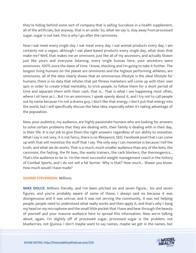they're hiding behind some sort of company that is selling Sucralose in a health supplement, all of the artificials, but anyway, that is an aside. So, what we say is, stay away from processed sugar, sugar is not bad, this is why I go after the carnivores.

Now I eat meat every single day. I eat meat every day. I eat animal products every day, I am certainly not a vegan, although I eat plant-based products every single day, what does that make me? Well, that makes me an omnivore, just like all of my ancestors, and actually Shawn just like yours and everyone listening, every single human here, your ancestors were omnivores. 100% since the dawn of time. I know, shocking and I'm going to take it further. The longest living humans on the planet are omnivores and the highest performing athletes, are omnivores, all of the data clearly shows that an omnivorous lifestyle is the ideal lifestyle for humans, there is no data that refutes that yet fitness marketers will come up with their own spin in order to create tribal mentality, to trick people, to follow them for a short period of time and separate them with their cash, that is... That is what I see happening most often, where I sit here as I... But I'm an omnivore, I speak openly about it, and I try not to call people out by name because I'm not a drama guy, I don't like that energy, I don't put that energy into the world, but I will specifically discuss the false idea, especially when it's taking advantage of the population.

Now, your audience, my audience, are highly passionate humans who are looking for answers to solve certain problems that they are dealing with, their family is dealing with in their day, in their life. It is our job to give them the right answers regardless of our ability to monetize. What I say is not sexy, it is not fancy, there is no #keyword, SEO, Facebook pixel that I can come up with that will monetize the stuff that I say. The only way I can monetize is because I tell the truth, and what we do works. That is a much, much smaller audience than any of the keto, the carnivore, the fasting, the fit tees, the waste trainers, the carb blockers, the thermogenics... That's the audience to be in. I'm the most successful weight management coach in the history of Combat Sports, and I do not sell a fat burner. Why is that? How much... Shawn you know. How much would I have made?

#### **SHAWN STEVENSON: Millions.**

**MIKE DOLCE:** Millions literally, and I've been pitched six and seven figure... Six and seven figures, and you're probably aware of some of those, I always said no because it was disingenuous and it was untrue, and it was not serving the community, it was not helping people, people need to understand what really works and then apply it, and that's why I bang my head on my microphone and the small little pocket that I have and hear through the beauty of yourself and your massive audience here to spread this information. Now we're talking about, again, I'm slightly off of processed sugar, processed sugar is the problem, not blueberries, not Quinoa. I don't maybe want to say names, maybe we get in the names, but

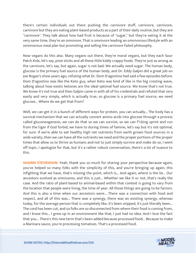there's certain individuals out there pushing the carnivore stuff, carnivore, carnivore, carnivore but they are eating plant-based products as a part of their daily routine, but they are "carnivore". They talk about how bad fruit is because of "sugar," but they're eating it at the very same time, they're an omnivore. That is omnivore leading an omnivorous lifestyle with an omnivorous meal plan but promoting and selling the carnivore failed philosophy.

Now vegans do this also. Many vegans out there, they're moral vegans, but they each Sour Patch Kids, let's say, pixie sticks and all these little kiddy crappy foods. They're just as wrong as the carnivore, let's say, but again, sugar is not bad. We actually need sugar. The human body, glucose is the primary fuel source of the human body, and Dr. Eddy Galpin did a great job on Joe Rogan's show years ago, refuting what Dr. Dom D'agostino had said a few episodes before. Dom D'agostino was like the Keto guy, when Keto was kind of like in the big cresting wave, talking about how exotic ketones are the ideal optimal fuel source. We know that's not true. We know it's not true and then Galpin came in with all of his credentials and refuted that very easily and very simply, which is actually true, so glucose is a primary fuel source, we need glucose... Where do we get that from?

Well, we can get it in a bunch of different ways for protein, you can actually... The body has a survival mechanism that we can actually convert amino acids into glucose through a process called gluconeogenesis, we can do that so we can survive, so we can f\*cking sprint and run from the tiger if God forbid, we have to during times of famine, let's say but it's not optimal, for sure. If we're able to eat healthy high net nutrients from earth grown food sources in a wide variety, then we can have all the nutrients we need and the proper portions of the proper times that allow us to thrive as humans and not to just simply survive and make do so, I went off topic, I apologize for that, but it's a rather robust conversation, there's a lot of nuance to this.

**SHAWN STEVENSON:** Yeah, thank you so much for sharing your perspective because again, you've helped so many folks with the simplicity of this, and you're bringing up again, this infighting that we have, that's missing the point, which is... And again, where is the lie... Our ancestors evolved as omnivores, and this is just... Whether we like it or not, that's really the case. And the ratio of plant-based to animal-based within that context is going to vary from the location that people were living, the time of year. All those things are going to be factors. And this is also a time when our ancestors were... There was a connection with food and respect, and all of this was... There was a synergy, there was an existing synergy, whereas today, for the average person that is completely like, it's been snipped, it's just literally been... The cord has been cut, and so folks are so disconnected from where their food is coming from, and I know this... I grew up in an environment like that, I just had no idea. And I love the fact that you... There's this new term that's been added because processed food... Because to make a Marinara sauce, you're processing tomatoes. That's a processed food.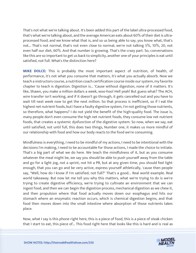That's not what we're talking about. It's been added this part of the label ultra-processed food, that's what we're talking about, and the average American eats about 60% of their diet is ultraprocessed food, and we know what that is, and so us being able to say, you know what, that's not... That's not normal, that's not even close to normal, we're not talking 5%, 10%, 20, not even half our diet, 60%. And that number is growing. That's the crazy part. So, conversations like this are so important to get us back to simplicity, another one of your principles is eat until satisfied, not full. What's the distinction here?

**MIKE DOLCE:** This is probably the most important aspect of nutrition, of health, of performance, it's not what you consume that matters, it's what you actually absorb. Now we teach a instructors course, a nutrition coach certification course inside our system, my favorite chapter to teach is digestion. Digestion is... 'Cause without digestion, none of it matters. It's like, Shawn, you make a million dollars a week, woo-hoo! Hell yeah! But guess what? The ACH, wire transfer isn't working, and if it doesn't go through, it gets cancelled out and you have to wait till next week now to get the next million. So that process is inefficient, so if I eat the highest net nutrient foods, but I have a faulty digestive system, I'm not getting those nutrients, so therefore, what happens? I do not yield the benefit of the high-quality food. The issue is, many people don't even consume the high net nutrient foods, they consume low net nutrient foods, that creates a systemic dysfunction of the digestive system. So now, when we say, eat until satisfied, not until full, this does two things, Number one, it makes us more mindful of our relationship with food and how our body reacts to the food we're consuming.

Mindfulness is everything, I need to be mindful of my actions, I need to be intentional with the decisions I'm making, I need to be accountable for those actions, I made the choice to initiate. That's a big part of what we do here. We teach the mindfulness of it, but as you consume whatever the meal might be, we say you should be able to push yourself away from the table and go for a light jog, not a sprint, not hit a PR, but at any given time, you should feel light enough, that you can go and be very active, express yourself athletically, 'cause then people say, "Well, how do I know if I'm satisfied, not full?" That's a good... Real world example. Real world takeaway. But now let me tell you why this matters, what we're trying to do is we're trying to create digestive efficiency, we're trying to cultivate an environment that we can ingest food, and then we can begin the digestion process, mechanical digestion as we chew it, and then propulsion where that food actually moves down our esophagus and hits our stomach where an enzymatic reaction occurs, which is chemical digestion begins, and that food then moves down into the small intestine where absorption of those nutrients takes place.

Now, what I say is this phone right here, this is a piece of food, this is a piece of steak chicken that I start to eat, this piece of... This food right here that looks like this is hard and is real as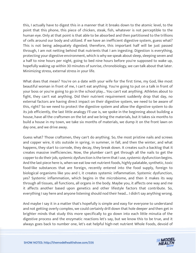this, I actually have to digest this in a manner that it breaks down to the atomic level, to the point that this phone, this piece of chicken, steak, fish, whatever is not perceptible to the human eye. Only at that point is that able to be absorbed and then partitioned to the trillions of cells around our body and utilized. If we have an inefficient digestive system, guess what? This is not being adequately digested; therefore, this important half will be just passed through, I am not netting behind that nutrients that I am ingesting. Digestion is everything, protecting your digestive environment, which is why we speak about sleep, sleeping seven and a half to nine hours per night, going to bed nine hours before you're supposed to wake up, hopefully waking up within 30 minutes of sunrise, chronobiology, we can talk about that later. Minimizing stress, external stress in your life.

What does that mean? You're on a date with your wife for the first time, my God, like most beautiful woman in front of me, I can't eat anything. You're going to put on a talk in front of your boss or you're going to go in the school play... You can't eat anything. Athletes about to fight, they can't eat anything. Did their nutrient requirement suddenly drop that day, no external factors are having direct impact on their digestive system, we need to be aware of this, right? So we need to protect the digestive system and allow the digestive system to do its job efficiently, the last little analogy I'll use is, we spoke in the beginning about building a house, have all the craftsmen on the lot and we bring the materials, but it takes six months to build a house in my town, we take six months of materials, we dump it on the front lawn on day one, and we drive away.

Guess what? Those craftsmen, they can't do anything. So, the most pristine nails and screws and copper wire, it sits outside in spring, in summer, in fall, and then the winter, and what happens, they start to corrode, they decay, they break down. It creates such a backlog that it creates massive inefficiencies. Now, the plumber can't get through all the nails to get the copper to do their job, systemic dysfunction is the term that I use, systemic dysfunction begins. And the last piece here is, when we eat low net nutrient foods, highly palatable, synthetic, toxic food-like substances that are foreign, recently entered into the food supply, foreign to biological organisms like you and I, it creates systemic inflammation. Systemic dysfunction, yes? Systemic inflammation, which begins in the microbiome, and then it makes its way through all tissues, all functions, all organs in the body. Maybe you, it affects one way and me it affects another based upon genetics and other lifestyle factors that contribute. So, everything I say here and anyone listening should nod their head... I didn't say anything wrong.

And maybe I say it in a matter that's hopefully is simple and easy for everyone to understand and not getting overly complex, we could certainly drill down that hole deeper and then get in brighter minds that study this more specifically to go down into each little minutia of the digestive process and the enzymatic reactions let's say, but we know this to be true, and it always goes back to number one, let's eat helpful high-net nutrient Whole Foods, devoid of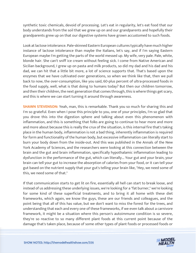synthetic toxic chemicals, devoid of processing. Let's eat in regularity, let's eat food that our body understands from the soil that we grew up on and our grandparents and hopefully their grandparents grew up on that our digestive systems have grown accustomed to such foods.

Look at lactose intolerance. Pale-skinned Eastern European cultures typically have much higher instance of lactose intolerance than maybe the Italians, let's say, and if I'm saying Eastern European maybe I'm getting the parts of the world messed up. My wife, very pale. Pale, white, blonde hair. She can't sniff ice cream without feeling sick. I come from Native American and Sicilian background, I grew up on pasta and milk products, so did my dad and his dad and his dad, we can hit that a little bit more, a lot of science supports that. That's based upon the enzymes that we have cultivated over generations, so when we think like that, then we pull back to now, the over-consumption, like you said, 60-plus percent of ultra-processed foods in the food supply, well, what is that doing to humans today? But then our children tomorrow, and then their children, the next generation that comes through, this is where things get scary, and this is where we can start turning it around through awareness.

**SHAWN STEVENSON:** Yeah, man, this is remarkable. Thank you so much for sharing this and I'm so grateful. Even when I pose this principle to you, one of your principles, I'm so glad that you drove this into the digestion sphere and talking about even this phenomenon with inflammation, and this is something that folks are going to continue to hear more and more and more about because this is really the crux of the situation, is this internal fire that's taking place in the human body, inflammation is not a bad thing, inherently inflammation is required for form and functionality of the human body, but excessive inflammation can literally start to burn your body down from the inside-out. And this was published in the Annals of the New York Academy of Sciences, and the researchers were looking at this connection between the brain and the gut and brain inflammation, specifically hypothalamic inflammation leading to dysfunction in the performance of the gut, which can literally... Your gut and your brain, your brain can tell your gut to increase the absorption of calories from your food, or it can tell your gut based on the nutrient supply that your gut's telling your brain like, "Hey, we need some of this, we need some of that."

If that communication starts to get lit on fire, essentially all hell can start to break loose, and instead of us addressing these underlying issues, we're looking for a "fat burner," we're looking for some kind of these superficial treatments, and to bring it all home with these diet frameworks, which again, we know the guys, these are our friends and colleagues, and the point being that all of this has value, but we don't want to miss the forest for the trees, and understanding that each and every one of these frameworks, if we even talk about a carnivore framework, it might be a situation where this person's autoimmune condition is so severe, they're so reactive to so many different plant foods at this current point because of the damage that's taken place, because of some other types of plant foods or processed foods or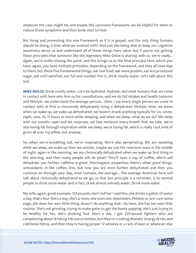whatever the case might be, and maybe this carnivore framework can be helpful for them to reduce those symptoms and their body start to heal.

But living and promoting this one framework as if it is gospel, and the only thing humans should be doing, is that what we evolved with? And just like being able to keep our cognitive awareness about us and understand all of these things have value, but if you're not getting these principles that someone like the legendary Mike Dolce is sharing with us, we're really... Again, we're really missing the point, and this brings us to the final principal here, which you have, again, you have multiple principles, depending on the framework, and they all have legs to them, but these five fundamental things, eat real food, eat more protein, eat less processed sugar, eat until satisfied, not full and number five is, drink mostly water. Let's talk about this one.

**MIKE DOLCE:** Drink mostly water. Let's be hydrated. Hydrate, and most humans that we come in contact with here who hire us for consultations, and we do full intakes and health histories and lifestyle, we understand the average person... Dare, I say every single person we come in contact with at first is chronically dehydrated, living a dehydrated lifestyle. Now, we know when we wake up, we wake up dehydrated, we haven't drunk anything typically for six, seven, eight, nine, 10, 11 hours or more while sleeping, and when we sleep, what do we do? We sleep with our mouths open and we respirate, we lose moisture every breath that we take, we're also losing fat through respiration while we sleep, we're losing fat, which is really cool, kind of gross all over my pillow, but anyway.

So, when we're breathing out, we're respirating. We're also perspirating. We are sweating while we sleep, we wake up then we urinate, maybe we use the restroom once in the middle of night, again in the morning, we are chronically dehydrated when we wake up first thing in the morning, and then many people will do what? They'll have a cup of coffee, which will dehydrate you further, caffeine is great, thermogenic properties, there's other good things, antioxidants in the coffee, fine, but now you are even further dehydrated and then you continue on through your day, most humans, the average... The average American here will talk about chronically dehydrated as we go, so that last principle is a reminder, is to remind people to drink more water and in fact, drink almost entirely water. Drink more water.

My wife, again, great example, 125 pounds, don't tell her I said this, she drinks a gallon of water a day, that's four liters a day, she's a mom, she exercises downstairs, Peloton or pre-core some yoga, she does her own little thing, doesn't do anything that I do here, she has her own little routine. She's not grinding, trying to make gains to get the booty popping, she's just trying to be healthy for her, she's drinking four liters a day. I get 220-pound fighters who are complaining about drinking 216-ounce bottles, but they're crushing Monster Energy drinks and cold brew Nitros, and then they're having proper 12 whiskey or a rack of beer or whatever else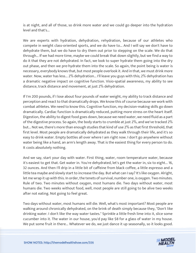is at night, and all of those, so drink more water and we could go deeper into the hydration level and that's...

We are experts with hydration, dehydration, rehydration, because of our athletes who compete in weight class-oriented sports, and we do have to... And I will say we don't have to dehydrate them, but we do have to dry them out prior to stepping on the scale. We do that through... If we had more time, maybe we could break that down slightly, but we find a way to do it that they are not dehydrated. In fact, we look to super hydrate them going into the dry out phase, and then we pre-hydrate them into the scale. So again, the point being is water is necessary, everybody knows that, but most people overlook it. And in that, we must drink more water. Now, water has less... 2% dehydration... I'll leave you guys with this; 2% dehydration has a dramatic negative impact on cognitive function. Visio-spatial awareness, my ability to see distance, track distance and movement, at just 2% dehydration.

If I'm 200 pounds, if I lose about four pounds of water weight, my ability to track distance and perception and react to that dramatically drops. We know this of course because we work with combat athletes. We need to know this. Cognitive function, my decision-making skills go down dramatically. Cardiac function is dramatically reduced, putting more stress on the heart itself. Digestion, the ability to digest food goes down, because we need water, we need fluid as a part of the digestive process. So again, the body starts to crumble at just 2%, and we've tracked 2% but... Not we, there's more than enough studies that kind of use 2% as that first threshold, that first level. Most people are dramatically dehydrated as they walk through their life, and it's so easy to drink water. Empty bottles all over where I am right now. I don't go anywhere without water being like a hand, an arm's length away. That is the easiest thing for every person to do. It costs absolutely nothing.

And we say, start your day with water. First thing, water, room temperature water, because it's easiest to get that. Get water in. You're dehydrated, let's get the water in, six to eight... 16, 32 ounces. And then I'll drip in a little bit of caffeine from black coffee, a little espresso and a little tea maybe and slowly start to increase the day. But what can I say? It's like oxygen. Alright, let me wrap it up with this. In order, the tenets of survival, number one, is oxygen. Two minutes. Rule of two. Two minutes without oxygen, most humans die. Two days without water, most humans die. Two weeks without food, well, most people are still going to be alive two weeks after not eating. Not going to feel great.

Two days without water, most humans will die. Well, what's most important? Most people are walking around chronically dehydrated, on the brink of death simply because they, "Don't like drinking water. I don't like the way water tastes." Sprinkle a little fresh lime into it, slice some cucumber into it. The water in our house, you'd pay like \$8 for a glass of water in my house. We put some fruit in there... Whatever we do, we just dance it up seasonally, so it looks good.

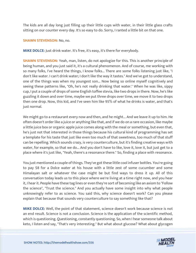The kids are all day long just filling up their little cups with water, in their little glass crafts sitting on our counter every day. It's so easy to do. Sorry, I ranted a little bit on that one.

#### **SHAWN STEVENSON:** No, no.

**MIKE DOLCE:** Just drink water. It's free, it's easy, it's there for everybody.

**SHAWN STEVENSON:** Yeah, man, listen, do not apologize for this. This is another principle of being human, and you just said it, it's a cultural phenomenon. And of course, me working with so many folks, I've heard the things, I know folks... There are some folks listening just like, "I don't like water. I can't drink water; I don't like the way it tastes." And we've got to understand, one of the things was when my youngest son... Now being so online myself cognitively and seeing these patterns like, "Oh, he's not really drinking that water." When he was like, sippy cup, I put a couple of drops of some English toffee stevia, like two drops in there. Now, he's like guzzling it down and over time, maybe we put three drops over time, we move it to two drops then one drop. Now, this kid, and I've seen him like 95% of what he drinks is water, and that's just normal.

We might go to a restaurant every now and then, and he might... And we leave it up to him. He often doesn't order like a juice or anything like that, and if we do on a rare occasion, like maybe a little juice box or organic apple juice comes along with the meal or something, but even that, he's just not that interested in those things because his cultural kind of programming has set a template for his taste that just like even too much of that sweetness, too much of that stuff can be repelling. Which sounds crazy, is very counterculture, but it's finding creative ways with water, for example, so that we do... And you don't have to like, love it, love it, but just get to a place where it's just like, "Yeah, there's a resonance there." So, finding a place with resonance.

You just mentioned a couple of things. They've got these little cool infuser bottles. You're going to pay \$8 for a Dolce water at his house with a little zest of some cucumber and some Himalayan salt or whatever the case might be but find ways to dress it up. All of this conversation today leads us to this place where we're living at a time right now, and you hear it, I hear it. People have these tag lines or even they're sort of becoming like an axiom to "Follow the science", "Trust the science." And you actually have some insight into why what people unknowingly refer to as science. You said this, why science doesn't work? Can you please explain that because that sounds very counterculture to say something like that?

**MIKE DOLCE:** Well, the point of that statement, science doesn't work because science is not an end result. Science is not a conclusion. Science is the application of the scientific method, which is questioning. Questioning, constantly questioning. So, when I hear someone talk about keto, I listen and say, "That's very interesting." But what about glucose? What about glycogen

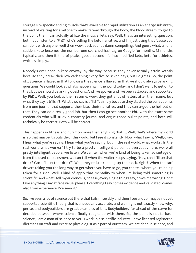storage site specific ending muscle that's available for rapid utilization as an energy substrate, instead of waiting for a ketone to make its way through the body, the bloodstream, to get to the point then I can actually utilize the muscle, let's say. Well, that's an interesting question, but if you listen to a "PhD" who's selling the keto narrative, and I'm just using that 'cause you can do it with anyone, well then wow, back sounds damn compelling. And guess what, all of a sudden, keto becomes the number one searched hashtag on Google for months. 18 months typically, and then it kind of peaks, gets a second life into modified keto, keto for athletes, which is simply...

Nobody's ever been in keto anyway, by the way, because they never actually attain ketosis because they break their low carb thing every five to seven days, but I digress. So, the point of... Science is flawed in that following the science is flawed, in that we should always be asking questions. We could look at what's happening in the world today, and I don't want to get on to that, but we should be asking questions. And I've spoken and I've been attacked and supported by PhDs. Well, you look at their resume, wow, they got a lot of letters after their name, but what they say is b\*llsh\*t. What they say is b\*llsh\*t simply because they studied the bullet points from one journal that supports their bias, their narrative, and they can argue the hell out of that. They can do a really good job, but then I can go see another PhD with the exact same credentials who will study a contrary journal and argue those bullet points, and both will technically be correct. Both will be correct.

This happens in fitness and nutrition more than anything that I... Well, that's where my world is, so that maybe it's outside of this world, but I see it constantly. Now, what I say is, "Well, okay, I hear what you're saying. I hear what you're saying, but in the real world, what works? In the real world what works?" I try to be a pretty intelligent person as everybody here, we're all pretty intelligent people, we listen. We can tell when we're kind of being taken advantage of from the used car salesmen, we can tell when the waiter keeps saying, "Hey, can I fill up that drink? Can I fill up that drink?" Well, they're just running up the clock, right? When the taxi drivers taking you the long way to get where you have to go, you can tell where you're being taken for a ride. Well, I kind of apply that mentality to when I'm being told something is scientific, and what I tell my audience is, "Please, every single thing I say, prove me wrong. Don't take anything I say at face value, please. Everything I say comes evidence and validated, comes also from experience. I've seen it."

So, I've seen a lot of science out there that fails miserably and then I see a lot of maybe not yet supported scientific theory that is anecdotally accurate, and we might not exactly know why, per se, and bodybuilders are great examples of this. Bodybuilders' far ahead of the curve for decades between where science finally caught up with them. So, the point is not to bash science, I am a man of science as you. I work in a scientific industry. I have licensed registered dietitians on staff and exercise physiologist as a part of our team. We are deep in science, and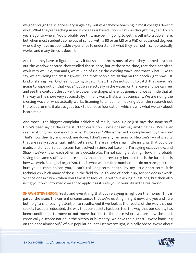we go through the science every single day, but what they're teaching in most colleges doesn't work. What they're teaching in most colleges is based upon what was thought maybe 10 or so years ago, so when... You probably see this, maybe I'm going to get myself into trouble here, but when most students come out of school with a BS or an MS or a PhD or advanced degrees where they have no applicable experience to understand if what they learned in school actually works, and many times it doesn't.

And then they have to figure out why it doesn't and throw most of what they learned in school out the window because they studied the science, but at the same time, that does not often work very well. So, you and I, we're kind of riding the cresting wave, and that's what I like to say, we are riding the cresting wave, and most people are sitting on the beach right now just kind of staring like, "Oh, he's not going to catch that. They're not going to catch that wave, he's going to wipe out on that wave," but we're actually in the water, on the wave and we can feel and see the contour, the curve, the power, the shape, where it's going, and we can ride that all the way to the shore very successfully. In many ways, that's what science is. We are riding the cresting wave of what actually works, listening to all opinion, looking at all the research out there, but for me, it always goes back to our base foundation, which is why what we talk about is so simple.

And most... The biggest complaint criticism of me is, "Man, Dolce just says the same stuff. Dolce's been saying the same stuff for years now. Dolce doesn't say anything new. I've never seen anything new come out of what Dolce says." Why is that not a compliment, by the way? That's how they try and knock me down. I don't see any revisions to Newton's law of gravity that are really substantial, right? Let's say... There's maybe small little insights that could be made, and of course our system has evolved in time, but baseline, I'm saying exactly now, and Shawn we've known each other for a decade plus, I'm not saying anything. Now, I'm probably saying the same stuff even more simply than I had previously because this is the base, this is how we work. Biological organism. This is what we are. Rule number one, do no harm, so I can't hurt you, I can't poison you, I can't risk long-term health, by my little short-term little techniques which many of those in the field do. So, to kind of back it up, science doesn't work. Science doesn't work when you take it at face value without asking questions, but then also using your own informed consent to apply it as it suits you in your life in the real world.

**SHAWN STEVENSON:** Yeah, and everything that you're saying is right on the money. This is part of the issue. The current circumstances that we're existing in right now, and you and I are both big fans of paying attention to results. And if we look at the results of the way that our society has been educated, the way that our society has been fed, the way that our society has been conditioned to move or not move, has led to the place where we are now the most chronically diseased nation in the history of humanity. We have the highest... We're knocking on the door almost 50% of our population, not just overweight, clinically obese. We're about

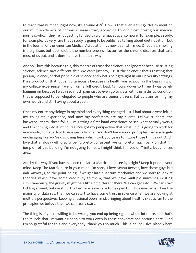to reach that number. Right now, it's around 45%. How is that even a thing? Not to mention our multi-epidemics of chronic diseases that, according to our most prestigious medical journals, who, if they're not getting funded by a pharmaceutical company, for example, a study, for example. It's very rare that a study is going to be published talking about diet nutrition, but in the Journal of the American Medical Association it's now been affirmed. Of course, smoking is a big issue, but poor diet is the number one risk factor for the chronic diseases that take most of us out, and it doesn't have to be this way.

And so, I love this because this, this mantra of trust the science is so ignorant because trusting science, science says different sh\*t. We can't just say, "Trust the science," that's trusting that person, Science, or that principle of science and what's being taught in our university settings, I'm a product of that, but simultaneously because my health was so poor in the beginning of my college experience. I went from a full credit load, 15 hours down to three. I was barely hanging on because I was in so much pain just to even go to class with this arthritic condition that is supposed to be relegated to people who are senior citizens. But by transforming my own health and still having about a year...

Once my entire physiology in my mind and everything changed, I still had about a year left in my collegiate experience, and now my professors are my clients. Fellow students, the basketball team, these folks... I'm getting a first-hand experience to see what actually works, and I'm coming into it, of course, I've got my perspective that what I did is going to work for everybody, not true. Not true, especially when you don't have sound principles that are largely unchanging like you're disclosing here, which took you years to figure those things out. And I love that analogy with gravity being pretty consistent, we can pretty much bank on that. If I jump off of this building, I'm not going to float. I might think I'm Neo or Trinity, but chances are...

And by the way, if you haven't seen the latest Matrix, don't see it, alright? Keep it pure in your mind. Keep The Matrix pure in your mind. I'm sorry, I love Keanu Reeves, love those guys but nah. Anyways, so the point being, if we get into quantum mechanics and we start to look at theories which have some credibility to them, that we have multiple universes existing simultaneously, the gravity might be a little bit different there. We can get into... We can start tickling around, but we still... The key here is we have to be open to it, however, what does the majority of data say, then we can start to have some trust in science when we are looking at multiple perspectives, keeping a rational open mind, bringing about healthy skepticism to the principles we believe then we can really start.

The thing is, if you're willing to be wrong, you end up being right a whole lot more, and that's the muscle that I'm wanting people to work even in these conversations because here... And I'm so grateful for this and everybody, thank you so much. This is an inclusive place where

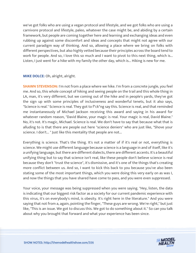we've got folks who are using a vegan protocol and lifestyle, and we got folks who are using a carnivore protocol and lifestyle, paleo, whatever the case might be, and abiding by a certain framework, but people are coming together here and learning and exchanging ideas and even rubbing up against some discomfort and ideas and concepts that might not agree with our current paradigm way of thinking. And so, allowing a place where we bring on folks with different perspectives, but also highly vetted because their principles across the board tend to work for people. And so, I love this so much and I want to pivot to this next thing, which is... Listen, I just went for a hike with my family the other day, which is... Hiking is new for me.

#### **MIKE DOLCE:** Oh, alright, alright.

**SHAWN STEVENSON:** I'm not from a place where we hike. I'm from a concrete jungle, you feel me. And so, this whole concept of hiking and seeing people on the trail and this whole thing in LA, man, it's very different, but we coming out of the hike and in people's yards, they've got the sign up with some principles of inclusiveness and wonderful tenets, but it also says, "Science is real." Science is real. They got to f\*ck\*ng say this. Science is real, and that reminded me instantaneously of Michael Jackson receiving this award and saying in his award for whatever random reason, "David Blaine, your magic is real. Your magic is real, David Blaine." No, it's not. It's magic, Michael. Science is real. We don't have to say that because what that is alluding to is that there are people out here "science deniers" who are just like, "Shove your science. I don't... " Just like this mentality that people are not...

Everything is science. That's the thing. It's not a matter of if it's real or not, everything is science. We might use different language because science is a language in and of itself, like it's a unifying language, but there are different dialects, there are different accents. It's a beautiful unifying thing but to say that science isn't real, like these people don't believe science is real because they don't "trust the science", it's dismissive, and it's one of the things that's creating more conflict between us. And so, I want to kick this back to you because you've also been stating some of the most important things, which you were doing this very early on as was I, and now the things that you have shared have come to pass, and you were even suppressed.

Your voice, your message was being suppressed when you were saying. "Hey, listen, the data is indicating that our biggest risk factor as a society for our current pandemic experience with this virus, it's on everybody's mind, is obesity. It's right here in the literature." And you were saying that not from a, again, pointing the finger, "These guys are wrong. We're right," but just like, "This is an issue. We got to discuss this. We got to do something about it." So can you talk about why you brought that forward and what your experience has been since.

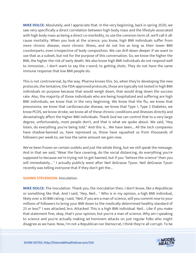**MIKE DOLCE:** Absolutely, and I appreciate that. In the very beginning, back in spring 2020, we saw very specifically a direct correlation between high body mass and the lifestyle associated with high body mass as being a direct co-morbidity, to use the common term of, we'll call it allcause mortality. When you look at the science, you know, high BMI individuals suffer from more chronic disease, more chronic illness, and do not live as long as their lower BMI counterparts, even irrespective of body composition. We can drill down deeper if we want to use that as a subset, but not for the purpose of this conversation. So, we know the higher the BMI, the higher the risk of early death. We also know high BMI individuals do not respond well to immunize... I don't want to say the v-word, to getting shots. They do not have the same immune response that low BMI people do.

This is not controversial, by the way. Pharma knows this. So, when they're developing the new protocols, the tentative, the FDA-approved protocols, those are typically not tested in high BMI individuals on purpose because that would weigh down, that would drag down the success rate. Also, the majority of those individuals who are being hospitalized and suffering are high BMI individuals, we know that in the very beginning. We know that the flu, we know that pneumonia, we know that cardiovascular disease, we know that Type 1, Type 2 Diabetes, we know PCOS, we know stroke, we know all of these chronic conditions and illnesses directly and devastatingly affect the higher BMI individuals. Thank God we can control that to a very large degree, unfortunately, most people don't, and that is what we spoke about. We said, "Hey listen, do everything you're being told." And this is... We have been... All the tech companies have shadow-banned us, have repressed us, those have squashed us from thousands of followers per week to, we lose the same amount we gain now.

We've been frozen on certain outlets and just the whole thing, but we still speak the message. And in that we said, "Wear the face covering, do the social distancing, do everything you're supposed to because we're trying not to get banned, but if you "believe the science" then you will immediately... " I actually publicly went after Neil deGrasse Tyson. Neil deGrasse Tyson recently was telling everyone that if they don't get the...

#### **SHAWN STEVENSON: Inoculation.**

**MIKE DOLCE:** The inoculation. Thank you, the inoculation then, I don't know, like a Republican or something like that. And I said, "Hey, Neil... " Who is in my opinion, a high BMI individual, likely over a 30 BMI rating. I said, "Neil, if you are a man of science, will you commit now to your millions of followers to bring your BMI down to the medically determined healthy standard of 25 or less?" I was attacked, bro. Attacked. This is a high BMI individual. Neil... Like if you make that statement fine, okay, that's your opinion, but you're a man of science. Why am I speaking to science and you're actually making ad hominem attacks on just regular folks who might disagree as we have. Now, I'm not a Republican nor Democrat, I think they're all corrupt. To be

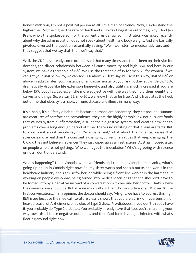honest with you, I'm not a political person at all. I'm a man of science. Now, I understand the higher the BMI, the higher the rate of death and all sorts of negative outcomes, why... And Jen Psaki, who's the spokesperson for the current presidential administration was asked recently about why the administration does not speak about health and body weight. And she basically pivoted, diverted the question essentially saying, "Well, we listen to medical advisors and if they suggest that we say that, then we'll say that."

Well, the CDC has already come out and said that many times, and that's been on their site for decades, the direct relationship between all-cause mortality and high BMI, and here in our system, we have a threshold of 15%. We use the threshold of 15 for men, 25 for women. If we can get your BMI below 25, we can see... Or above 25, let's say, I'll use it this way, BMI of 15% or above in adult males, your instance of all-cause mortality, you risk hockey sticks. Below 15%, dramatically drops like life extension longevity, and also utility is much increased if you are below 15% body fat. Ladies, a little more subjective with the way they hold their weight and curves and things. So, we say 25, mid-20s, we know that to be true. And it frustrates the heck out of me that obesity is a habit, chronic disease and illness in many way...

It's a habit, it's a lifestyle habit, it's because humans are sedentary, they sit around. Humans are creatures of comfort and convenience, they eat the highly parable low net nutrient foods that causes systemic inflammation, disrupt their digestive system, and creates new health problems over a long enough period of time. There's no refuting of that, these are facts. But to your point about people saying, "Science is real," what about that science, 'cause that science is more real than the constantly changing current narratives that keep changing. The UK, did they not believe in science? They just wiped away all restrictions. Austria imposed a tax on people who are not getting... Who won't get the inoculation? Who's agreeing with science or not? I don't understand.

What's happening? Up in Canada, we have friends and clients in Canada, its insanity, what's going up on up in Canada right now. So, my sister works and she's a nurse, she works in the healthcare industry, she's at risk for her job while being a front-line worker in the hazmat suit working on people every day, being forced into medical decisions that she shouldn't have to be forced into by a narrative instead of a conversation with her and her doctor. That's where the conversation should be. But anyone who walks in their doctor's office at a BMI over 30 the first conversation... In my opinion, the doctor should say, "Alright, we have to address this high BMI issue because the medical literature clearly shows that you are at risk of hypertension, of heart disease, of Alzheimer's, of stroke, of type 2 diet... Pre-diabetes, if you don't already have it, you probably do. Type 2 diabetes. You probably already have that too, you're marching your way towards all these negative outcomes, and then God forbid, you get infected with what's floating around right now."

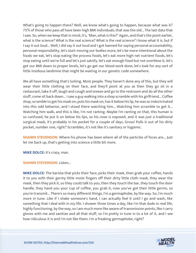What's going to happen there? Well, we know what's going to happen, because what was it? 75% of those who pass all have been high BMI individuals, that was the old... The last data that I saw. So, when we keep that in mind, it's, "Man, what is this?" Again, and that's the point earlier, what is the science? What is the real science? What is the real science? I know what it is, but if I say it out loud... Well, I did say it out loud and I got banned for saying personal accountability, personal responsibility, let's start moving our bodies more, let's be more intentional about the foods we eat, let's stop eating the process foods, let's eat more high net nutrient foods, let's stop eating until we're full and let's just satisfy, let's eat enough food but not overblow it, let's get our BMI down to proper levels, let's go get our blood work done, let's look for any sort of little insidious landmine that might be waiting in our genetic code somewhere.

We all have something that's lurking. Most people. They haven't done any of this, but they will wear their little clothing on their face, and they'll point at you as then they go sit in a restaurant, take it off, laugh and cough and sneeze and go to the restroom and do all the other stuff, come sit back down... I saw a guy walking into a shop scramble with his girlfriend... Coffee shop, scramble to get his mask on, puts his mask on, has it below his lip, he was so indoctrinated into this odd behavior, and I stood there watching him... Watching him scramble to get it... Watching him walk, and this is like, I'm not ranting. Maybe I'm ranting on that, this human is so confused, he put it on below his lips, so his nose is exposed, and it was just a traditional surgical mask, it's probably in his pocket for a couple of days. Gross! Pulls it out of his dirty pocket, number one, right? Scrambles, it's not like it's sanitary or hygienic.

**SHAWN STEVENSON:** Where his phone has been where all of the particles of feces are... Just let me back up, that's getting into science a little bit more.

**MIKE DOLCE:** It's crazy, man.

#### **SHAWN STEVENSON:** Listen...

**MIKE DOLCE:** The barista that picks their face, picks their mask, then grab your coffee, hands it to you with their germy little moist fingers off their dirty little cloth mask, they wear the mask, then they pick it, so they could talk to you, then they touch the bar, they touch the door handle, they hand you your cup of coffee, you grab it, now you've got their little germs, so you're transmit... There's so many different things. I'm a germaphobe, by the way. So, I'm much more in tune. Like if I shake someone's hand, I can actually feel it until I go and wash, like something that I deal with in my life. I shower three times a day, like I'm that dude in real life, highly functioning, by the way, so I am much more like aware of transmission points, like I carry gloves with me and sanitize and all that stuff, so I'm pretty in tune in to a lot of it, and I see how ridiculous it is and I'm not like them. I'm a freaking germaphobe, right?

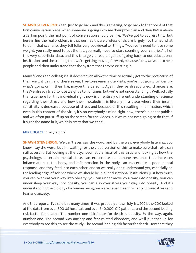**SHAWN STEVENSON:** Yeah. Just to go back and this is amazing, to go back to that point of that first conversation piece, when someone is going in to see their physician and their BMI is above a certain point, the first point of conversation should be like, "We've got to address this," but here in lies the real problem, is that our healthcare professionals are largely not trained what to do in that scenario, they tell folks very cookie-cutter things, "You really need to lose some weight, you really need to cut the fat, you really need to start counting your calories," all of this very superficial data, and this is largely a result, again, of going back to our educational institutions and the training that we're getting moving forward, because folks, we want to help people and then understand that the system that they're existing in...

Many friends and colleagues, it doesn't even allow the time to actually get to the root cause of their weight gain, and these seven, five-to-seven-minute visits, you're not going to identify what's going on in their life, maybe this person... Again, they've already tried, chances are, they've already tried to lose weight a ton of times, but we're not understanding... Well, actually the issue here for this individual right now is an entirely different understanding of science regarding their stress and how their metabolism is literally in a place where their insulin sensitivity is decreased because of stress and because of this resulting inflammation, which even in this context of the virus, it's on everybody's mind right now, there's a paper publish and we often put stuff up on the screen for the videos, but we're not even going to do that, if it's got the name in it, which is crazy that we can't...

#### **MIKE DOLCE:** Crazy, right?

**SHAWN STEVENSON:** We can't even say the word, and by the way, everybody listening, you know I say the word, but I'm waiting for the video version of this to make sure that folks can still access it. But looking at the psychosomatic effects of this virus and looking at how the psychology, a certain mental state, can exacerbate an immune response that increases inflammation in the body, and inflammation in the body can exacerbate a poor mental response, and they feed into each other, and so we really don't understand yet, especially on the leading edge of science where we should be in our educational institutions, just how much you can over-eat your way into obesity, you can under-move your way into obesity, you can under-sleep your way into obesity, you can also over-stress your way into obesity. And it's understanding the biology of a human being, we were never meant to carry chronic stress and fear and anxiety.

And that report... I've said this many times, it was probably shown July 1st, 2021, the CDC looked at the data from over 800 US hospitals and over 540,000, C19 patients, and the second leading risk factor for death... The number one risk factor for death is obesity. By the way, again, number one. The second was anxiety and fear-related disorders, and we'll put that up for everybody to see this, to see the study. The second leading risk factor for death. How dare they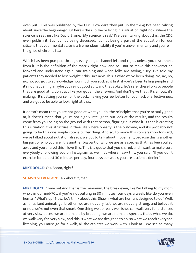even put... This was published by the CDC. How dare they put up the thing I've been talking about since the beginning? But here's the rub, we're living in a situation right now where the science is real, just like David Blaine, "My science is real." I've been talking about this; the CDC even publish it. But it's not being discussed. It's not being a part of the education for our citizens that your mental state is a tremendous liability if you're unwell mentally and you're in the grips of chronic fear.

Which has been pumped through every single channel left and right, unless you disconnect from it. It is the definition of the matrix right now, and so... But to move this conversation forward and understand again, our training and when folks are saying, "Hey, I've told my patients they needed to lose weight," this isn't new. This is what we've been doing. No, no, no, no, no, you got to acknowledge how much you suck at it first, if you've been telling people and it's not happening, maybe you're not good at it, and that's okay, let's refer these folks to people that are good at it, don't act like you got all the answers. And don't give that... It's an out, it's making... It's patting yourself on the back, making you feel better for your lack of effectiveness, and we got to be able to look right at that.

It doesn't mean that you're not good at what you do, the principles that you're actually good at, it doesn't mean that you're not highly intelligent, but look at the results, and the results come from you being on the ground with that person, figuring out what it is that is creating this situation, this structure in their life where obesity is the outcome, and it's probably not going to be this one simple cookie cutter thing. And so, to move this conversation forward, we've talked about nutrition already, we got to talk about movement, because this is another big part of who you are, it is another big part of who we are as a species that has been pulled away and you shared this, I love this. This is a quote that you shared, and I want to make sure everybody's following you on Instagram as well, it's where I saw this, you said, "If you don't exercise for at least 30 minutes per day, four days per week, you are a science denier."

#### **MIKE DOLCE:** Yes. Boom, right?

**SHAWN STEVENSON: Talk about it, man.** 

**MIKE DOLCE:** Come on! And that is the minimum, the break even, like I'm talking to my mom who's in our mid-70s, if you're not putting in 30 minutes four days a week, like do you even human? What's up? Now, let's think about this, Shawn, what are humans designed to do? Well, as far as land animals go, brother, we are not very fast, we are not very strong, and believe it or not, we're not even that smart. One thing we do really well is we can walk very far distances at very slow paces, we are nomadic by breeding, we are nomadic species, that's what we do, we walk very far, very slow, and this is what we are designed to do, so what we teach everyone listening, you must go for a walk, all the athletes we work with, I look at... We see so many

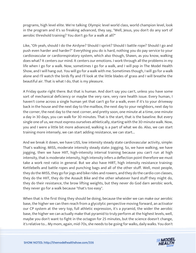programs, high level elite. We're talking Olympic level world class, world champion level, look in the program and it's so freaking advanced, they say, "Well, Jesus, you don't do any sort of aerobic threshold training? You don't go for a walk at all?"

Like, "Oh yeah, should I do the Airdyne? Should I sprint? Should I battle rope? Should I go and push even harder and harder?" Everything you do is hard, nothing you do pay service to your cardiovascular or cardiorespiratory system, which also though, Shawn, as you know, walking does what? It centers our mind. It centers our emotions. I work through all the problems in my life when I go for a walk. Now, sometimes I go for a walk, and I will pop in The Model Health Show, and I will hang out. You will go for a walk with me. Sometimes though, I will go for a walk alone and I'll watch the birds fly and I'll look at the little blades of grass and I will breathe the beautiful air. That is what I do, that is my pleasure.

A Friday quote right there. But that is human. And don't say you can't, unless you have some sort of mechanical deficiency or maybe the very rare, very rare health issue. Every human, I haven't come across a single human yet that can't go for a walk, even if it's to your driveway back in the house and the next day to the mailbox, the next day to your neighbors, next day to the corner, the next day to the next corner, and pretty soon, one minute at a time, one minute a day in 30 days, you can walk for 30 minutes. That is the start, that is the baseline. But every single one of us, we must express ourselves athletically, starting with the 30-minute walk. Now, you and I were a little bit more advanced, walking is a part of what we do. Also, we can start training more intensely, we can start adding resistance, we can start...

And we break it down, we have LISS, low intensity steady state cardiovascular activity, simple: That's walking. MISS, moderate intensity steady state: Jogging. So, we have walking, we have jogging, then we have HIIT, high-intensity interval training because you can't run at high intensity, that is moderate intensity, high intensity infers a deflection point therefore we must take a work rest ratio in general. But we also have HIRT, high intensity resistance training: Kettlebells and battle ropes and punching bags and all of the other stuff. Well, most people, they do the MISS, they go for jogs and bike rides and rowers, and they do the cardio con classes, they do the HIIT, they do the Assault Bike and the other whatever hard stuff they might do, they do their resistance, the brow lifting weights, but they never do God darn aerobic work, they never go for a walk because "that's too easy".

When that is the first thing they should be doing, because the wider we can make our aerobic base, the higher we can then reach from a glycolytic perspective moving forward, an activator our CP system at the very top, full athletic expression, it's a pyramid, the wider the aerobic base, the higher we can actually make that pyramid to truly perform at the highest levels, well, maybe you don't want to fight in the octagon for 25 minutes, but the science doesn't change, it's relative to... My mom, again, mid-70s, she needs to be going for walks, daily walks. You don't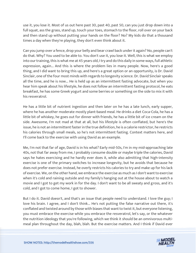use it, you lose it. Most of us out here past 30, past 40, past 50, can you just drop down into a full squat, ass the grass, stand up, touch your toes, stomach to the floor, roll over on your back and then stand up without putting your hands on the floor? No? My kids do that a thousand times a day when they're playing, they don't even think about it.

Can you jump over a fence, drop your belly and bear crawl back under it again? No, people can't do that. Why? You used to be able to. You don't use it, you lose it. Well, this is what we employ into our training, this is what me at 45 years old, I try and do this daily in some ways, full athletic expression, again... And this is where the problem lies in many people. Now, here's a good thing, and I did want to bring this up, and here's a great option or an opportunity, is Dr. David Sinclair, one of the four most minds with regards to longevity science. Dr. David Sinclair speaks all the time, and he is now... He is held up as an intermittent fasting advocate, but when you hear him speak about his lifestyle, he does not follow an intermittent fasting protocol, he eats breakfast, he has some Greek yogurt and some berries or something on the side to mix it with his resveratrol.

He has a little bit of nutrient ingestion and then later on he has a late lunch, early supper, where he has another moderate mostly plant-based meal. He drinks a diet Coca-Cola, he has a little bit of whiskey, he goes out for dinner with friends, he has a little bit of ice cream on the side. Awesome, I'm not mad at that at all, but his lifestyle is often conflated, but here's the issue, he is not an intermittent faster in the true definition, he is a calorie restrictor, he restricts his calories through small meals, so he's not intermittent fasting. Context matters here, and I'll come back to the exercise with using David as an example.

Me, I'm not that far of age, David is in his what? Early mid-50s, I'm in my mid-approaching late 40s, not that far away from me, I probably consume double or maybe triple the calories, David says he hates exercising and he hardly ever does it, while also admitting that high-intensity exercise is one of the primary switches to increase longevity, but he avoids that because he does not prefer exercise. Instead, he overly restricts his calories to try and make up for his lack of exercise. We, on the other hand, we embrace the exercise as much as I don't want to exercise when it's cold and raining outside and my family's hanging out at the house about to watch a movie and I got to get my work in for the day. I don't want to be all sweaty and gross, and it's cold, and I got to come home, I got to shower.

But I do it. David doesn't, and that's an issue that people need to understand. I love the guy; I love his brain. I agree, and I don't think... He's not putting the false narrative out there, it's conflated and twisted around by those with biases that want to twist it, but everyone listening, you must embrace the exercise while you embrace the resveratrol, let's say, or the whatever the nutrition ideology that you're following, which we think it should be an omnivorous multimeal plan throughout the day, blah, blah. But the exercise matters. And I think if David ever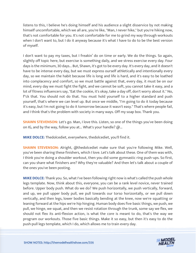listens to this, I believe he's doing himself and his audience a slight disservice by not making himself uncomfortable, which we all are, you're like, "Man, I never hike," but you're hiking now, that's not comfortable for you. It's not comfortable for me to grind my way through workouts when I don't want to, but I do it anyway because it's what I have to do to be the best version of myself.

I don't want to pay my taxes, but I freakin' do on time or early. We do the things. So again, slightly off topic here, but exercise is something daily, and we stress exercise every day. Four days is the minimum, 30 days... But, Shawn, it's got to be every day. It's every day, and it doesn't have to be intense every day, but we must express ourself athletically and intentionally every day, so we maintain the habit because life is long and life is hard, and it's easy to be loathed into complacency and comfort, so we must battle against that, every day, it must be on our mind, every day we must fight the fight, and we cannot be soft, you cannot take it easy, and a lot of fitness influencers say, "Eat the cookie, it's okay, take a day off, don't worry about it." No, f\*ck that. You should not do that. You must hold yourself to a higher standard and push yourself, that's where we can level up. But once we middle, "I'm going to do it today because it's easy, but I'm not going to do it tomorrow because it wasn't easy." That's where people fail, and I think that's the problem with society in many ways. Off my soap box. Thank you.

**SHAWN STEVENSON:** Let's go. Man, I love this. Listen, so one of the things you've been doing on IG, and by the way, follow you at... What's your handle? ( $\partial$ ...

**MIKE DOLCE:** Thedolcediet, everywhere, thedolcediet, you'll find it.

**SHAWN STEVENSON:** Alright, @thedolcediet make sure that you're following Mike. Well, you've been sharing these finishers, which I love. Let's talk about these. One of them was with, I think you're doing a shoulder workout, then you did some gymnastic ring push-ups. So first, can you share what finishers are? Why they're valuable? And then let's talk about a couple of the ones you've been posting.

**MIKE DOLCE:** Thank you. So, what I've been following right now is what's called the push whole legs template. Now, think about this, everyone, you can be a rank level novice, never trained before. Upper body push. What do we do? We push horizontally, we push vertically, forward, and up, we pull upper body pull, we pull towards our torso horizontally, or we pull down vertically, and then legs, lower bodies basically bending at the knee, now we're squatting or leaning forward at the hips we're hip hinging. Human body does five basic things, we push, we pull, we hinge, we squat, and then we resist rotation through the trunk, some say we flex, we should not flex its anti-flexion action, is what the core is meant to do, that's the way we program our workouts. Those five basic things. Make it so easy, but then it's easy to do the push-pull legs template, which I do, which allows me to train every day.

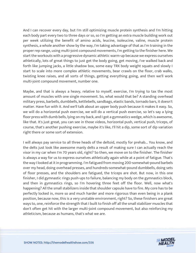And I can recover every day, but I'm still optimizing muscle protein synthesis and I'm hitting each body part every two to three days or so, so I'm getting an extra muscle building work out per week utilizing the benefit of amino acids, leucine, isoleucine, valine, muscle protein synthesis, a whole another show by the way, I'm taking advantage of that as I'm training in the proper rep range, using multi-joint compound movements, I'm getting to the finisher here. We start the workouts with a progressive dynamic athletic warm-up because we express ourselves athletically, lots of great things to just get the body going, get moving, I've walked back and forth like jumping jacks, a little shadow box, some easy TRX body weight squats and slowly I start to scale into more complex athletic movements, bear crawls on the floor, crab walks, twisting knee raises, and all sorts of things, getting everything going, and then we'll work multi-joint compound movement, number one.

Maybe, and that is always a heavy, relative to myself, exercise, I'm trying to tax the most amount of muscles with one single movement. So, what would that be? A standing overhead military press, barbells, dumbbells, kettlebells, sandbags, elastic bands, tornado bars, it doesn't matter. Have fun with it. And we'll talk about an upper body push because it makes it easy. So, we will do a horizontal push exercise, we will do a vertical push exercise, so let's say a lying floor press with dumb bells, lying on my back, and I got a gymnastics wedge, which is awesome, like that. It's just great, you can see in those videos, horizontal push, vertical push, triceps, of course, that's another pushing exercise, maybe it's like, I'll hit a dip, some sort of dip variation right there or some sort of extension.

I will always pay service to all three heads of the deltoid, mostly for prehab... You know, and the delts just look like awesome manly delts a result of making sure I can actually reach the visor in my car when I'm 70 years old, right? So then, we move on to the finisher. The finisher is always a way for us to express ourselves athletically again while at a point of fatigue. That's the way I looked at it in programming. I'm fatigued from moving 200-somewhat-pound barbels over my head, doing overhead presses, and hundreds-somewhat-pound dumbbells, doing sets of floor presses, and the shoulders are fatigued, the triceps are shot. But now, in this one finisher, I did gymnastic rings push-ups to failure, balancing my body on the gymnastics block, and then in gymnastics rings, so I'm hovering three feet off the floor. Well, now what's happening? All the small stabilizers inside that shoulder capsule have to fire. My core has to be perfectly locked in, more so and much harder and more rigorous than even being in a plank position, because now, this is a very unstable environment, right? So, these finishers are great ways to, one, reinforce the strength that I built to finish off all the small stabilizer muscles that don't often get hit with the larger multi-joint compound movement, but also reinforcing my athleticism, because as humans, that's what we are.

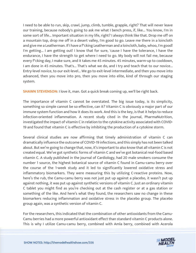I need to be able to run, skip, crawl, jump, climb, tumble, grapple, right? That will never leave our training, because nobody's going to ask me what I bench press, if, like... You know, I'm in some sort of life... Important situation in my life, right? I always think like that. Drop me off on a mountain top, drop me off in a desert valley, I'm good to go. Leave me there in a loincloth and give me a Leatherman. If I have a f\*cking Leatherman and a loincloth, baby, whoo, I'm good! I'm getting... I am getting out! I know that for sure, 'cause I have the tolerance, I have the endurance, I have the strength to get where I need to go. My body will not fail me, because every f\*cking day, I make sure, and it takes me 45 minutes. 45 minutes, warm-up to cooldown, I am done in 45 minutes. That's... That's what we do, and I try and teach that to our novice... Entry-level novice, to our exit-level... We go to exit-level intermediate, and then you move into advanced, then you move into pro, then you move into elite, kind of through our staging system.

**SHAWN STEVENSON: I** love it, man. Got a quick break coming up, we'll be right back.

The importance of vitamin C cannot be overstated. The big issue today, is its simplicity, something so simple cannot be so effective, can it? Vitamin C is obviously a major part of our immune system function and how it does its work. And this is the key, is that it helps to reduce infection-oriented inflammation. A recent study cited in the journal, PharmaNutrition, investigated the impact of vitamin C in relation to the cytokine activity associated with COVID-19 and found that vitamin C is effective by inhibiting the production of a cytokine storm.

Several clinical studies are now affirming that timely administration of vitamin C can dramatically influence the outcome of COVID-19 infections, and this simply has not been talked about. But we're going to change that, now, it's important to also know that all vitamin C is not created equal. We've got synthetic forms of vitamin C and we've got botanical real-food based vitamin C. A study published in the journal of Cardiology, had 20 male smokers consume the number 1 source, the highest botanical source of vitamin C found in Camu-camu berry over the course of the 1-week study and it led to significantly lowered oxidative stress and inflammatory biomarkers. They were measuring this by utilizing C-reactive proteins. Now, here's the rub, the Camu-camu berry was not just put up against a placebo, it wasn't put up against nothing, it was put up against synthetic versions of vitamin C. Just an ordinary vitamin C tablet you might find as you're checking out at the cash register or at a gas station or something of the like. And here's what they found, the researchers saw no change in these biomarkers reducing inflammation and oxidative stress in the placebo group. The placebo group again, was a synthetic version of vitamin C.

For the researchers, this indicated that the combination of other antioxidants from the Camu-Camu berries had a more powerful antioxidant effect than standard vitamin C products alone. This is why I utilize Camu-camu berry, combined with Amla berry, combined with Acerola

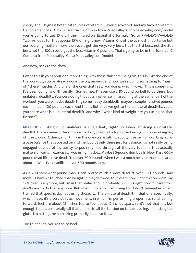cherry, the 3 highest botanical sources of vitamin C ever discovered. And my favorite vitamin C supplement of all time is Essential C Complex from Paleovalley. Go to paleovalley.com/model you're going to get 15% off their incredible Essential C formula. Go to P-A-L-E-O-V-A-L-L-E-Y.com/model, for that special 15% off right now. Vitamin C is of the at most importance but our sourcing matters more than ever, get the very, very best. Not the 3rd best, not the 5th best, not the 100th best, get the best vitamin C possible. That's going to be in the Essential C Complex from Paleovalley. Go to Paleovalley.com/model

And now, back to the show.

I want to ask you about one more thing with these finishers. So again, this is... At the end of the workout, you've already done the big movers, and now we're doing something to "finish off" these muscles. And one of the ones that I saw you doing, which I love... This is something I've been doing, and I'll literally... Sometimes, I'll even use a 10-pound barbell to do these, but unilateral deadlifts. You were doing that as a finisher, so I'm assuming at the earlier part of the workout, you were maybe deadlifting some heavy dumbbells, maybe a couple hundred pounds each, I mean, 100 pounds each. And then... But once we get to the unilateral deadlifts, could you share what is a unilateral deadlift, and why... What kind of weight are you using on that finisher?

**MIKE DOLCE:** Alright. So, unilateral is single limb, right? So, when I'm doing a unilateral deadlift, there's many different ways to do it, one of which you can keep your non-working leg off the ground. Others, and I think in the one you're talking about, I use my non-working leg as a base balance that's posted behind me, but it's only there just for balance; it's not really being engaged outside of my ability to push my hips through at the very top, and that actually matters on certain exercises. I was using maybe... Maybe 30-pound dumbbells. Now, I'm a 600+ pound dead lifter; I've deadlifted over 700 pounds when I was a much heavier man and cared about it. Well, I've deadlifted over 600 pounds, any...

As a 200-somewhat-pound man, I can pretty much always deadlift over 600 pounds. Any more... I haven't touched that weight in maybe three, four years now. I don't know what my 1RM dead is anymore, but I'm in that realm. I could probably pull 500 right now if I cared to. I don't care to do that anymore. But when I move to... I'm trying to... I don't remember what I trained that specific day, but using those, it... The unilateral deadlift in that one, specifically, which I love, it's a very athletic movement, in which I'm performing proper hitch and leaning forward, feet are about 12 inches toe to toe, about 12 inches apart, so it's not that far, but enough to put, unilaterally, all that emphasis, all the tension on to the lead leg. I'm hitting the glute, I'm hitting the hamstring primarily, but also the...

Toe-to-heel; so, you're toe-to-heel.

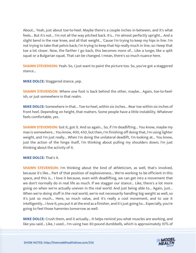About... Yeah, just about toe-to-heel. Maybe there's a couple inches in-between, and it's what feels... But it's not... I'm not all the way pitched back. It's... I'm almost perfectly upright... And a slight bend in the rear knee, and all that weight... 'Cause I'm trying to keep my hips in line. I'm not trying to take that pelvis back; I'm trying to keep that hip really much in line, so I keep that toe a lot closer. Now, the farther I go back, this becomes more of... Like a lunge; like a split squat or a Bulgarian squat. That can be changed. I mean, there's so much nuance here.

**SHAWN STEVENSON:** Yeah. So, I just want to paint the picture too. So, you've got a staggered stance...

**MIKE DOLCE:** Staggered stance, yep.

**SHAWN STEVENSON:** Where one foot is back behind the other, maybe... Again, toe-to-heelish, or just somewhere in that realm.

**MIKE DOLCE:** Somewhere in that... Toe-to-heel, within six inches... Rear toe within six inches of front heel. Depending on height, that matters. Some people have a little instability. Whatever feels comfortable, yes.

**SHAWN STEVENSON:** Got it, got it. And so again... So, if I'm deadlifting... You know, maybe my max is somewhere... You know, 400, 450, but then, I'm finishing off doing that, I'm using lighter weight, and I'm just really... When I'm doing the unilateral deadlift, I'm looking at... You know, just the action of the hinge itself, I'm thinking about pulling my shoulders down; I'm just thinking about the activity of it.

**MIKE DOLCE:** That's it.

**SHAWN STEVENSON:** I'm thinking about the kind of athleticism, as well, that's involved, because it's like... Part of that position of explosiveness... We're working to be efficient in this space, and this is... I love it because, even with deadlifting, we can get into a movement that we don't normally do in real life as much. If we stagger our stance... Like, there's a lot more going on when we're actually uneven in the real world. And just being able to... Again, just... When we're doing stuff in the real world, we're not necessarily handling big weight as well, so it's just so much... Here, so much value, and it's really a cool movement, and to use it intelligently... I love it; you put it at the end as a finisher, and it's just going to... Especially, you're going to feel those hammies tomorrow as well.

**MIKE DOLCE:** Crush them, and it actually... It helps remind you what muscles are working, and like you said... Like, I used... I'm using two 30-pound dumbbells, which is approximately 10% of

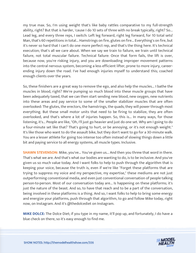my true max. So, I'm using weight that's like baby rattles comparative to my full-strength ability, right? But that is harder, 'cause I do 10 sets of three with no break typically, right? So... Lead leg, and every three reps, I switch: Left leg forward, right leg forward, for 10 total sets! Man, that's 60 repetitions in total... Hamstrings on fire, glutes on fire... Everything's on fire, but it's never so hard that I can't do one more perfect rep, and that's the thing here. It's technical execution; that's all we care about. When we say we train to failure, we train until technical failure, not total muscular failure. Technical failure: Once that form fails, the lift is over, because now, you're risking injury, and you are downloading improper movement patterns into the central nervous system, becoming a less efficient lifter, prone to more injury, careerending injury down the road. I've had enough injuries myself to understand this; coached enough clients over the years.

So, these finishers are a great way to remove the ego, and also help the muscles... I bathe the muscles in blood, right? We're pumping so much blood into these muscle groups that have been adequately taxed, that we can then start sending new blood, new oxygen, new nutrients into these areas and pay service to some of the smaller stabilizer muscles that are often overlooked: The glutes, the erectors, the hamstrings, the quads; they will power through most everything. But these small motor units that need to be firing to stabilize, they are often overlooked, and that's where a lot of injuries happen. So, this is... In many ways, for those listening, it's... People are like, "Oh, I'll just go heavier and just do one set. Why am I going to do a four-minute set like that? That's going to hurt, or be annoying, or it's not enough weight." It's like those who want to do the assault bike, but they don't want to go for a 30-minute walk. You are a lesser athlete for going too intense too often instead of slowing things down a little bit and paying service to all energy systems, all muscle types. Inclusive.

**SHAWN STEVENSON:** Mike, you've... You've given us... And then you threw that word in there. That's what we are. And that's what our bodies are wanting to do, is to be inclusive. And you've given us so much value today. And I want folks to help to push through the algorithm that is keeping your voice, because the truth is, even if we're like "Forget these platforms that are trying to suppress my voice and my perspective, my expertise," these mediums are not just outperforming conventional media, and even just conventional conversation of people talking person-to-person. Most of our conversation today are... Is happening on these platforms; it's just the nature of the beast. And so, to have that reach and to be a part of the conversation, being involved in these platforms is a thing. And so, I want folks to help to bring some energy and energize your platforms, push through that algorithm, to go and follow Mike today, right now, on Instagram. And it's @thedolcediet on Instagram.

**MIKE DOLCE:** The Dolce Diet; if you type in my name, it'll pop up, and fortunately, I do have a blue check on there, so it's easy enough to find me.

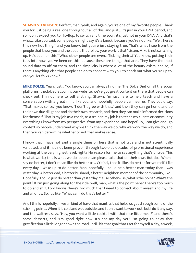**SHAWN STEVENSON:** Perfect, man, yeah, and again, you're one of my favorite people. Thank you for just being a real one throughout all of this, and just... It's just in your DNA period, and so I don't expect you to flip-flop, to switch any time soon; it's just not in your DNA. And that's what... Like you said, some people might say it's a knock, because you're not like, "Well, here's this new hot thing," and you know, but you're just staying true. That's what I see from the people that know you and the people that follow your work is that "Listen, Mike is not switching up. He's been on this." What other people are even... Tickling their...? You know, putting their toes into now, you've been on this, because these are things that are... They have the most sound data to affirm them, and the simplicity is where a lot of the beauty exists, and so, if there's anything else that people can do to connect with you, to check out what you're up to, can you let folks know?

**MIKE DOLCE:** Yeah, just... You know, you can always find me: The Dolce Diet on all the social platforms, thedolcediet.com is our website; we've got great content on there that people can check out. I'm not here to sell anything, Shawn, I'm just here to help teach and have a conversation with a great mind like you, and hopefully, people can hear us. They could say, "That makes sense," you know, "I don't agree with that," and then they can go home and do their own due diligence and do their own research, and then they can make informed decisions for themself. That is my job as a coach, as a trainer; my job is to teach my clients or community everything I know from my perspective, from my experience. And hopefully, I can give enough context so people understand why we think the way we do, why we work the way we do, and then you can determine whether or not that makes sense.

I know that I have not said a single thing on here that is not true and is not scientifically validated, and it has not been proven through two-plus decades of professional experience working at the very highest level, right? No reason for me to say anything that's untrue. This is what works; this is what we do; people can please take that on their own. But do... When I say do better, I don't mean like do better as... Critical, I see it, like, do better for yourself. Like every day, I wake up to do better. Man, hopefully, I could be a better man today than I was yesterday: A better dad, a better husband, a better neighbor, member of the community, like... Hopefully, I could just do better than yesterday, 'cause otherwise, what's the point? What's the point? If I'm just going along for the ride, well, man, what's the point here? There's too much to do and sh\*t. Lord knows there's too much that I need to correct about myself and my life and all of us. So, it's like, "What can I do that's better?"

And I think, hopefully, if we all kind of have that mantra, that helps us get through some of the sticking points. When it is cold and wet outside, and I don't want to work out, but I do it anyway, and the waitress says, "Hey, you want a little cocktail with that nice little meal?" and there's some desserts, and "I'm good right now. It's not my day yet." I'm going to delay that gratification a little longer down the road until I hit that goal that I set for myself a day, a week,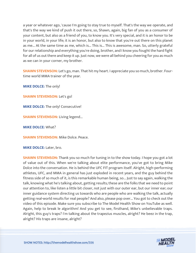a year or whatever ago, 'cause I'm going to stay true to myself. That's the way we operate, and that's the way we kind of push it out there, so, Shawn, again, big fan of you as a consumer of your content, but also as a friend of you, to know you. It's very special, and it is an honor to be in your world, in your life; it is an honor, but also to know that you're out there on this planet as me... At the same time as me, which is... This is... This is awesome, man. So, utterly grateful for our relationship and everything you're doing, brother, and I know you fought the hard fight for all of us out there and keep it up. Just now, we were all behind you cheering for you as much as we can in your corner, my brother.

**SHAWN STEVENSON:** Let's go, man. That hit my heart. I appreciate you so much, brother. Fourtime world MMA trainer of the year.

**MIKE DOLCE:** The only!

**SHAWN STEVENSON: Let's go!** 

**MIKE DOLCE:** The only! Consecutive!

**SHAWN STEVENSON: Living legend...** 

**MIKE DOLCE:** What?

**SHAWN STEVENSON: Mike Dolce. Peace.** 

**MIKE DOLCE:** Later, bro.

**SHAWN STEVENSON:** Thank you so much for tuning in to the show today. I hope you got a lot of value out of this. When we're talking about elite performance, you've got to bring Mike Dolce into the conversation. He is behind the UFC FIT program itself. Alright, high-performing athletes, UFC, and MMA in general has just exploded in recent years, and the guy behind the fitness side of so much of it, is this remarkable human being, so... Just to say again, walking the talk, knowing what he's talking about, getting results; these are the folks that we need to point our attention to, like listen a little bit closer, not just with our outer ear, but our inner ear; our inner guidance system directing us towards who are people who are walking the talk, actually getting real-world results for real people? And also, please pop over... You got to check out the video of this episode. Make sure you subscribe to The Model Health Show on YouTube as well. Again, help to break le algorithm! And you get to see, firsthand, Mike's unbelievable traps. Alright, this guy's traps? I'm talking about the trapezius muscles, alright? He beez in the trap, alright? His traps are insane, alright?